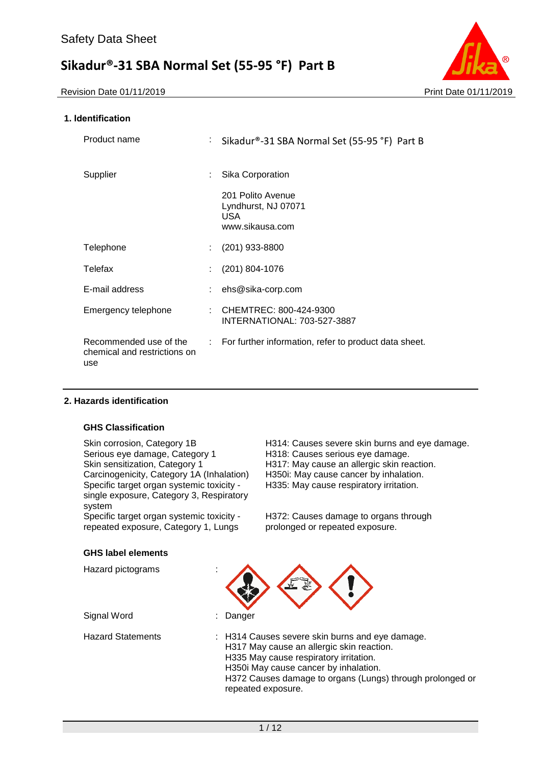Revision Date 01/11/2019 **Print Date 01/11/2019** Print Date 01/11/2019



### **1. Identification**

| Product name                                                  | : Sikadur®-31 SBA Normal Set (55-95 °F) Part B                      |
|---------------------------------------------------------------|---------------------------------------------------------------------|
| Supplier                                                      | Sika Corporation                                                    |
|                                                               | 201 Polito Avenue<br>Lyndhurst, NJ 07071<br>USA.<br>www.sikausa.com |
| Telephone                                                     | (201) 933-8800                                                      |
| Telefax                                                       | $(201)$ 804-1076                                                    |
| E-mail address                                                | ehs@sika-corp.com                                                   |
| Emergency telephone                                           | : CHEMTREC: 800-424-9300<br>INTERNATIONAL: 703-527-3887             |
| Recommended use of the<br>chemical and restrictions on<br>use | : For further information, refer to product data sheet.             |

#### **2. Hazards identification**

#### **GHS Classification**

Serious eye damage, Category 1 H318: Causes serious eye damage.<br>Skin sensitization, Category 1 H317: May cause an allergic skin rea Carcinogenicity, Category 1A (Inhalation) Specific target organ systemic toxicity single exposure, Category 3, Respiratory system

Specific target organ systemic toxicity repeated exposure, Category 1, Lungs

Skin corrosion, Category 1B<br>Serious eye damage, Category 1 H318: Causes serious eye damage. H317: May cause an allergic skin reaction.<br>H350i: May cause cancer by inhalation. H335: May cause respiratory irritation.

> H372: Causes damage to organs through prolonged or repeated exposure.

#### **GHS label elements**

| Hazard pictograms        |                                                                                                                                                                                                                                                                    |
|--------------------------|--------------------------------------------------------------------------------------------------------------------------------------------------------------------------------------------------------------------------------------------------------------------|
| Signal Word              | Danger                                                                                                                                                                                                                                                             |
| <b>Hazard Statements</b> | : H314 Causes severe skin burns and eye damage.<br>H317 May cause an allergic skin reaction.<br>H335 May cause respiratory irritation.<br>H350i May cause cancer by inhalation.<br>H372 Causes damage to organs (Lungs) through prolonged or<br>repeated exposure. |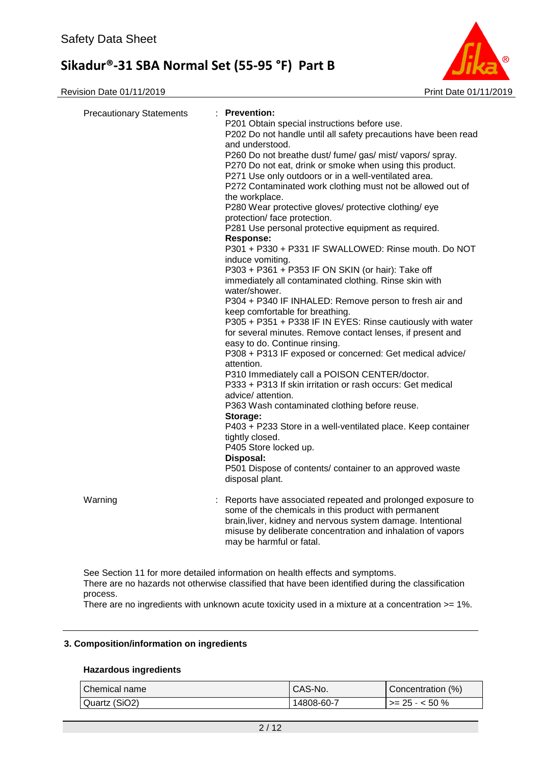Revision Date 01/11/2019 **Print Date 01/11/2019** Print Date 01/11/2019



| <b>Precautionary Statements</b> | $:$ Prevention:<br>P201 Obtain special instructions before use.<br>P202 Do not handle until all safety precautions have been read<br>and understood.<br>P260 Do not breathe dust/ fume/ gas/ mist/ vapors/ spray.<br>P270 Do not eat, drink or smoke when using this product.<br>P271 Use only outdoors or in a well-ventilated area.<br>P272 Contaminated work clothing must not be allowed out of<br>the workplace.<br>P280 Wear protective gloves/ protective clothing/ eye<br>protection/ face protection.<br>P281 Use personal protective equipment as required.<br><b>Response:</b><br>P301 + P330 + P331 IF SWALLOWED: Rinse mouth. Do NOT<br>induce vomiting.<br>P303 + P361 + P353 IF ON SKIN (or hair): Take off<br>immediately all contaminated clothing. Rinse skin with<br>water/shower.<br>P304 + P340 IF INHALED: Remove person to fresh air and<br>keep comfortable for breathing.<br>P305 + P351 + P338 IF IN EYES: Rinse cautiously with water<br>for several minutes. Remove contact lenses, if present and<br>easy to do. Continue rinsing.<br>P308 + P313 IF exposed or concerned: Get medical advice/<br>attention.<br>P310 Immediately call a POISON CENTER/doctor.<br>P333 + P313 If skin irritation or rash occurs: Get medical<br>advice/ attention.<br>P363 Wash contaminated clothing before reuse.<br>Storage:<br>P403 + P233 Store in a well-ventilated place. Keep container<br>tightly closed.<br>P405 Store locked up.<br>Disposal:<br>P501 Dispose of contents/ container to an approved waste<br>disposal plant. |
|---------------------------------|-----------------------------------------------------------------------------------------------------------------------------------------------------------------------------------------------------------------------------------------------------------------------------------------------------------------------------------------------------------------------------------------------------------------------------------------------------------------------------------------------------------------------------------------------------------------------------------------------------------------------------------------------------------------------------------------------------------------------------------------------------------------------------------------------------------------------------------------------------------------------------------------------------------------------------------------------------------------------------------------------------------------------------------------------------------------------------------------------------------------------------------------------------------------------------------------------------------------------------------------------------------------------------------------------------------------------------------------------------------------------------------------------------------------------------------------------------------------------------------------------------------------------------------------------------|
| Warning                         | : Reports have associated repeated and prolonged exposure to<br>some of the chemicals in this product with permanent<br>brain, liver, kidney and nervous system damage. Intentional<br>misuse by deliberate concentration and inhalation of vapors<br>may be harmful or fatal.                                                                                                                                                                                                                                                                                                                                                                                                                                                                                                                                                                                                                                                                                                                                                                                                                                                                                                                                                                                                                                                                                                                                                                                                                                                                      |

See Section 11 for more detailed information on health effects and symptoms. There are no hazards not otherwise classified that have been identified during the classification process.

There are no ingredients with unknown acute toxicity used in a mixture at a concentration >= 1%.

### **3. Composition/information on ingredients**

#### **Hazardous ingredients**

| Chemical name | CAS-No.    | Concentration (%)      |
|---------------|------------|------------------------|
| Quartz (SiO2) | 14808-60-7 | $\vert$ >= 25 - < 50 % |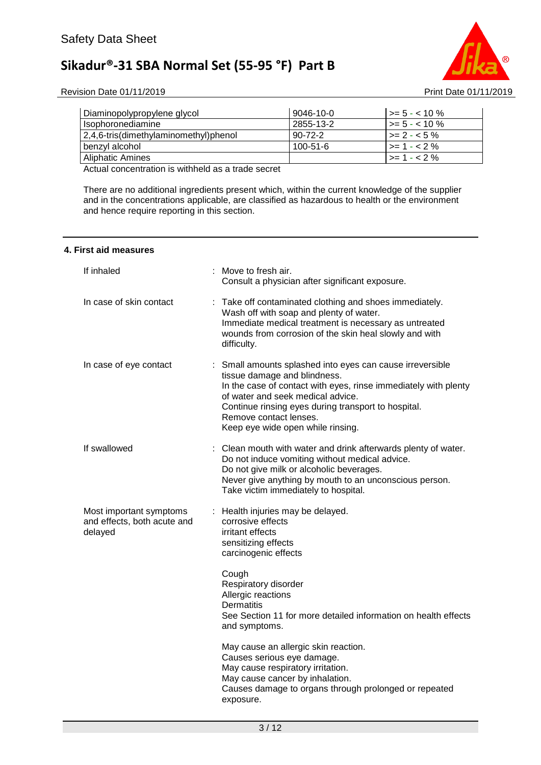

Revision Date 01/11/2019 **Print Date 01/11/2019** Print Date 01/11/2019

| Diaminopolypropylene glycol           | 9046-10-0      | $\vert$ >= 5 - < 10 %      |
|---------------------------------------|----------------|----------------------------|
| Isophoronediamine                     | 2855-13-2      | $\vert \rangle = 5 - 10\%$ |
| 2,4,6-tris(dimethylaminomethyl)phenol | $90 - 72 - 2$  | $\ge$ 2 - < 5 %            |
| benzyl alcohol                        | $100 - 51 - 6$ | $\vert$ >= 1 - < 2 %       |
| <b>Aliphatic Amines</b>               |                | $\vert$ >= 1 - < 2 %       |

Actual concentration is withheld as a trade secret

There are no additional ingredients present which, within the current knowledge of the supplier and in the concentrations applicable, are classified as hazardous to health or the environment and hence require reporting in this section.

#### **4. First aid measures**

| If inhaled                                                        | : Move to fresh air.<br>Consult a physician after significant exposure.                                                                                                                                                                                                                                                 |
|-------------------------------------------------------------------|-------------------------------------------------------------------------------------------------------------------------------------------------------------------------------------------------------------------------------------------------------------------------------------------------------------------------|
| In case of skin contact                                           | Take off contaminated clothing and shoes immediately.<br>Wash off with soap and plenty of water.<br>Immediate medical treatment is necessary as untreated<br>wounds from corrosion of the skin heal slowly and with<br>difficulty.                                                                                      |
| In case of eye contact                                            | : Small amounts splashed into eyes can cause irreversible<br>tissue damage and blindness.<br>In the case of contact with eyes, rinse immediately with plenty<br>of water and seek medical advice.<br>Continue rinsing eyes during transport to hospital.<br>Remove contact lenses.<br>Keep eye wide open while rinsing. |
| If swallowed                                                      | : Clean mouth with water and drink afterwards plenty of water.<br>Do not induce vomiting without medical advice.<br>Do not give milk or alcoholic beverages.<br>Never give anything by mouth to an unconscious person.<br>Take victim immediately to hospital.                                                          |
| Most important symptoms<br>and effects, both acute and<br>delayed | : Health injuries may be delayed.<br>corrosive effects<br>irritant effects<br>sensitizing effects<br>carcinogenic effects                                                                                                                                                                                               |
|                                                                   | Cough<br>Respiratory disorder<br>Allergic reactions<br><b>Dermatitis</b><br>See Section 11 for more detailed information on health effects<br>and symptoms.                                                                                                                                                             |
|                                                                   | May cause an allergic skin reaction.<br>Causes serious eye damage.<br>May cause respiratory irritation.<br>May cause cancer by inhalation.<br>Causes damage to organs through prolonged or repeated<br>exposure.                                                                                                        |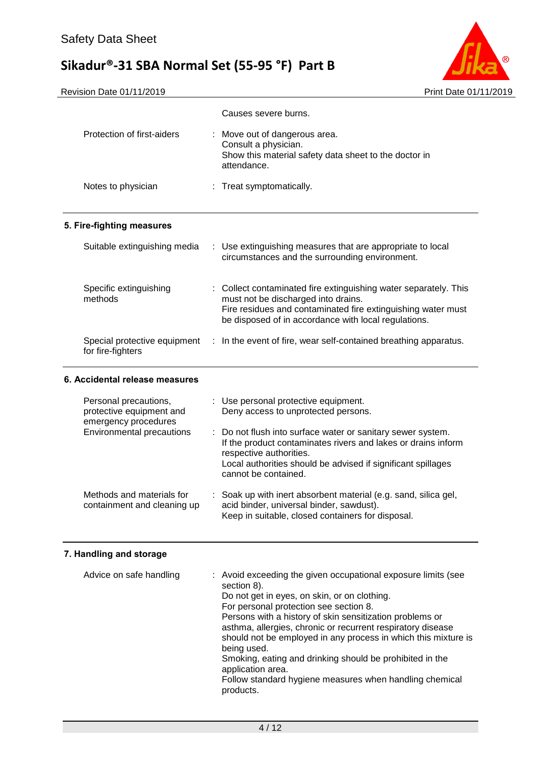

|                                                                                                               | Causes severe burns.                                                                                                                                                                                                                                                                                                         |
|---------------------------------------------------------------------------------------------------------------|------------------------------------------------------------------------------------------------------------------------------------------------------------------------------------------------------------------------------------------------------------------------------------------------------------------------------|
| Protection of first-aiders                                                                                    | : Move out of dangerous area.<br>Consult a physician.<br>Show this material safety data sheet to the doctor in<br>attendance.                                                                                                                                                                                                |
| Notes to physician                                                                                            | : Treat symptomatically.                                                                                                                                                                                                                                                                                                     |
| 5. Fire-fighting measures                                                                                     |                                                                                                                                                                                                                                                                                                                              |
| Suitable extinguishing media                                                                                  | : Use extinguishing measures that are appropriate to local<br>circumstances and the surrounding environment.                                                                                                                                                                                                                 |
| Specific extinguishing<br>methods                                                                             | : Collect contaminated fire extinguishing water separately. This<br>must not be discharged into drains.<br>Fire residues and contaminated fire extinguishing water must<br>be disposed of in accordance with local regulations.                                                                                              |
| Special protective equipment<br>for fire-fighters                                                             | : In the event of fire, wear self-contained breathing apparatus.                                                                                                                                                                                                                                                             |
| 6. Accidental release measures                                                                                |                                                                                                                                                                                                                                                                                                                              |
| Personal precautions,<br>protective equipment and<br>emergency procedures<br><b>Environmental precautions</b> | : Use personal protective equipment.<br>Deny access to unprotected persons.<br>Do not flush into surface water or sanitary sewer system.<br>If the product contaminates rivers and lakes or drains inform<br>respective authorities.<br>Local authorities should be advised if significant spillages<br>cannot be contained. |
| Methods and materials for<br>containment and cleaning up                                                      | Soak up with inert absorbent material (e.g. sand, silica gel,<br>acid binder, universal binder, sawdust).<br>Keep in suitable, closed containers for disposal.                                                                                                                                                               |

### **7. Handling and storage**

| Advice on safe handling | : Avoid exceeding the given occupational exposure limits (see<br>section 8).<br>Do not get in eyes, on skin, or on clothing.<br>For personal protection see section 8.<br>Persons with a history of skin sensitization problems or<br>asthma, allergies, chronic or recurrent respiratory disease<br>should not be employed in any process in which this mixture is |
|-------------------------|---------------------------------------------------------------------------------------------------------------------------------------------------------------------------------------------------------------------------------------------------------------------------------------------------------------------------------------------------------------------|
|                         | being used.<br>Smoking, eating and drinking should be prohibited in the<br>application area.<br>Follow standard hygiene measures when handling chemical<br>products.                                                                                                                                                                                                |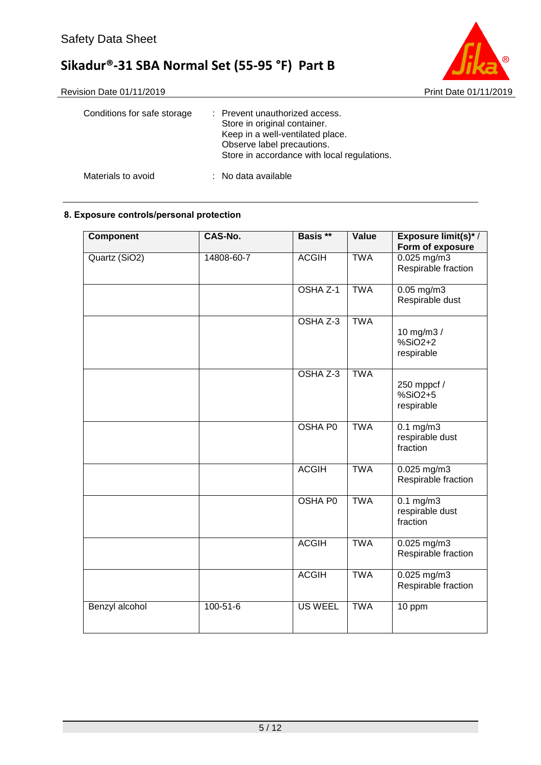

| Conditions for safe storage | : Prevent unauthorized access.<br>Store in original container.<br>Keep in a well-ventilated place.<br>Observe label precautions.<br>Store in accordance with local regulations. |
|-----------------------------|---------------------------------------------------------------------------------------------------------------------------------------------------------------------------------|
| Materials to avoid          | : No data available                                                                                                                                                             |

### **8. Exposure controls/personal protection**

| <b>Component</b> | CAS-No.        | Basis **       | Value      | Exposure limit(s)*/<br>Form of exposure           |
|------------------|----------------|----------------|------------|---------------------------------------------------|
| Quartz (SiO2)    | 14808-60-7     | <b>ACGIH</b>   | <b>TWA</b> | $0.025$ mg/m3<br>Respirable fraction              |
|                  |                | OSHA Z-1       | <b>TWA</b> | $0.05$ mg/m $3$<br>Respirable dust                |
|                  |                | OSHA Z-3       | <b>TWA</b> | 10 mg/m3 /<br>$%SiO2+2$<br>respirable             |
|                  |                | OSHA Z-3       | <b>TWA</b> | 250 mppcf /<br>$%SiO2+5$<br>respirable            |
|                  |                | OSHA P0        | <b>TWA</b> | $0.1 \text{ mg/m}$<br>respirable dust<br>fraction |
|                  |                | <b>ACGIH</b>   | <b>TWA</b> | $0.025$ mg/m3<br>Respirable fraction              |
|                  |                | <b>OSHA P0</b> | <b>TWA</b> | $0.1$ mg/m3<br>respirable dust<br>fraction        |
|                  |                | <b>ACGIH</b>   | <b>TWA</b> | 0.025 mg/m3<br>Respirable fraction                |
|                  |                | <b>ACGIH</b>   | <b>TWA</b> | 0.025 mg/m3<br>Respirable fraction                |
| Benzyl alcohol   | $100 - 51 - 6$ | <b>US WEEL</b> | <b>TWA</b> | 10 ppm                                            |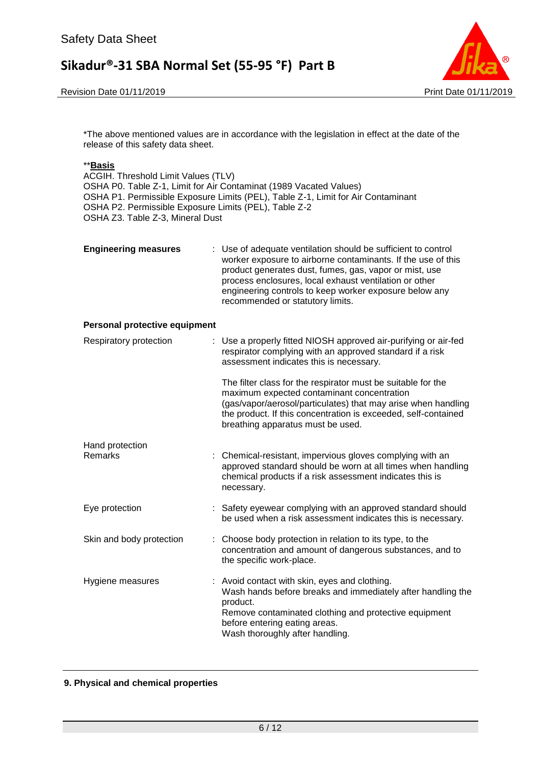Revision Date 01/11/2019 **Print Date 01/11/2019** Print Date 01/11/2019



\*The above mentioned values are in accordance with the legislation in effect at the date of the release of this safety data sheet.

#### \*\***Basis**

ACGIH. Threshold Limit Values (TLV) OSHA P0. Table Z-1, Limit for Air Contaminat (1989 Vacated Values) OSHA P1. Permissible Exposure Limits (PEL), Table Z-1, Limit for Air Contaminant OSHA P2. Permissible Exposure Limits (PEL), Table Z-2 OSHA Z3. Table Z-3, Mineral Dust

| <b>Engineering measures</b> | : Use of adequate ventilation should be sufficient to control<br>worker exposure to airborne contaminants. If the use of this<br>product generates dust, fumes, gas, vapor or mist, use<br>process enclosures, local exhaust ventilation or other<br>engineering controls to keep worker exposure below any<br>recommended or statutory limits. |
|-----------------------------|-------------------------------------------------------------------------------------------------------------------------------------------------------------------------------------------------------------------------------------------------------------------------------------------------------------------------------------------------|
|                             |                                                                                                                                                                                                                                                                                                                                                 |

#### **Personal protective equipment**

| Respiratory protection   | : Use a properly fitted NIOSH approved air-purifying or air-fed<br>respirator complying with an approved standard if a risk<br>assessment indicates this is necessary.                                                                                                             |
|--------------------------|------------------------------------------------------------------------------------------------------------------------------------------------------------------------------------------------------------------------------------------------------------------------------------|
|                          | The filter class for the respirator must be suitable for the<br>maximum expected contaminant concentration<br>(gas/vapor/aerosol/particulates) that may arise when handling<br>the product. If this concentration is exceeded, self-contained<br>breathing apparatus must be used. |
| Hand protection          |                                                                                                                                                                                                                                                                                    |
| Remarks                  | : Chemical-resistant, impervious gloves complying with an<br>approved standard should be worn at all times when handling<br>chemical products if a risk assessment indicates this is<br>necessary.                                                                                 |
| Eye protection           | : Safety eyewear complying with an approved standard should<br>be used when a risk assessment indicates this is necessary.                                                                                                                                                         |
| Skin and body protection | : Choose body protection in relation to its type, to the<br>concentration and amount of dangerous substances, and to<br>the specific work-place.                                                                                                                                   |
| Hygiene measures         | : Avoid contact with skin, eyes and clothing.<br>Wash hands before breaks and immediately after handling the<br>product.<br>Remove contaminated clothing and protective equipment<br>before entering eating areas.<br>Wash thoroughly after handling.                              |

#### **9. Physical and chemical properties**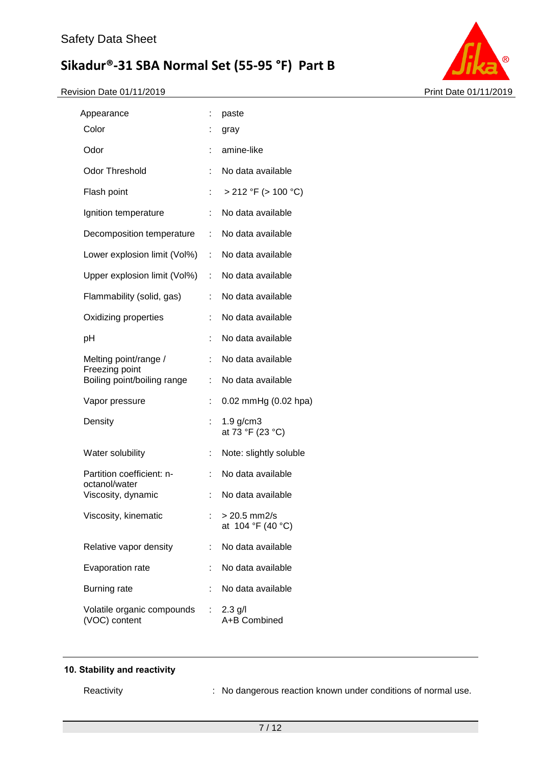Revision Date 01/11/2019 **Print Date 01/11/2019** 



| Appearance                                  | t. | paste                              |
|---------------------------------------------|----|------------------------------------|
| Color                                       |    | gray                               |
| Odor                                        |    | amine-like                         |
| <b>Odor Threshold</b>                       |    | No data available                  |
| Flash point                                 |    | > 212 °F (> 100 °C)                |
| Ignition temperature                        | ÷  | No data available                  |
| Decomposition temperature                   | t. | No data available                  |
| Lower explosion limit (Vol%)                | t. | No data available                  |
| Upper explosion limit (Vol%)                | t. | No data available                  |
| Flammability (solid, gas)                   |    | No data available                  |
| Oxidizing properties                        |    | No data available                  |
| рH                                          | t. | No data available                  |
| Melting point/range /<br>Freezing point     |    | No data available                  |
| Boiling point/boiling range                 | ÷  | No data available                  |
| Vapor pressure                              |    | 0.02 mmHg (0.02 hpa)               |
| Density                                     |    | $1.9$ g/cm $3$<br>at 73 °F (23 °C) |
| Water solubility                            |    | Note: slightly soluble             |
| Partition coefficient: n-<br>octanol/water  |    | No data available                  |
| Viscosity, dynamic                          | ÷  | No data available                  |
| Viscosity, kinematic                        |    | > 20.5 mm2/s<br>at 104 °F (40 °C)  |
| Relative vapor density                      |    | No data available                  |
| Evaporation rate                            |    | No data available                  |
| <b>Burning rate</b>                         |    | No data available                  |
| Volatile organic compounds<br>(VOC) content | t. | $2.3$ g/l<br>A+B Combined          |

### **10. Stability and reactivity**

Reactivity **Reactivity** : No dangerous reaction known under conditions of normal use.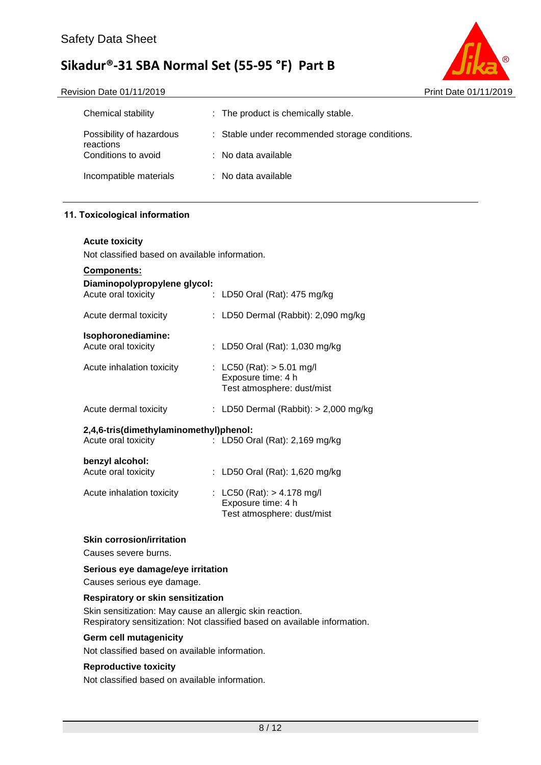|                                                | Print Date 01/11/2019 |
|------------------------------------------------|-----------------------|
| : The product is chemically stable.            |                       |
| : Stable under recommended storage conditions. |                       |
| $\therefore$ No data available                 |                       |
| $\therefore$ No data available                 |                       |
|                                                |                       |

#### **11. Toxicological information**

#### **Acute toxicity**

Not classified based on available information.

| <u>Components:</u>                                            |                                                                                 |
|---------------------------------------------------------------|---------------------------------------------------------------------------------|
| Diaminopolypropylene glycol:<br>Acute oral toxicity           | : LD50 Oral (Rat): 475 mg/kg                                                    |
| Acute dermal toxicity                                         | : LD50 Dermal (Rabbit): 2,090 mg/kg                                             |
| Isophoronediamine:<br>Acute oral toxicity                     | : LD50 Oral (Rat): 1,030 mg/kg                                                  |
| Acute inhalation toxicity                                     | : LC50 (Rat): $>$ 5.01 mg/l<br>Exposure time: 4 h<br>Test atmosphere: dust/mist |
| Acute dermal toxicity                                         | : LD50 Dermal (Rabbit): $> 2,000$ mg/kg                                         |
| 2,4,6-tris(dimethylaminomethyl)phenol:<br>Acute oral toxicity | : LD50 Oral (Rat): $2,169$ mg/kg                                                |
| benzyl alcohol:<br>Acute oral toxicity                        | : LD50 Oral (Rat): 1,620 mg/kg                                                  |
| Acute inhalation toxicity                                     | : LC50 (Rat): > 4.178 mg/l<br>Exposure time: 4 h<br>Test atmosphere: dust/mist  |

#### **Skin corrosion/irritation**

Causes severe burns.

#### **Serious eye damage/eye irritation**

Causes serious eye damage.

#### **Respiratory or skin sensitization**

Skin sensitization: May cause an allergic skin reaction. Respiratory sensitization: Not classified based on available information.

#### **Germ cell mutagenicity**

Not classified based on available information.

#### **Reproductive toxicity**

Not classified based on available information.

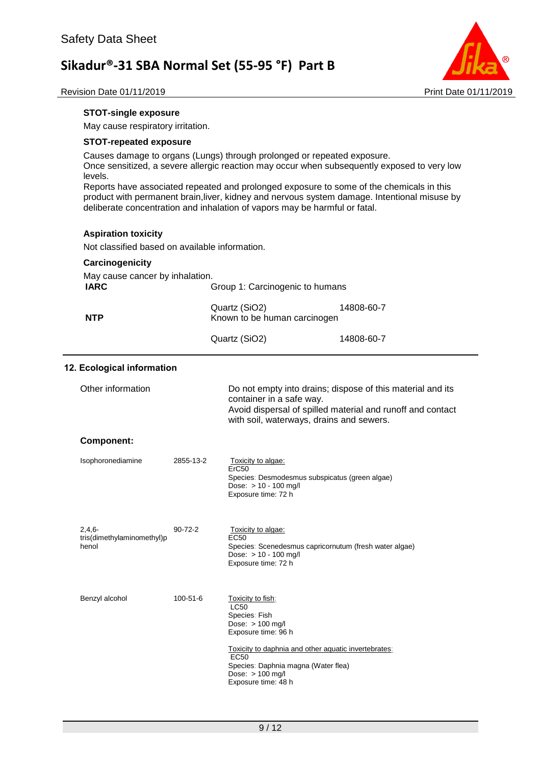

Revision Date 01/11/2019 **Print Date 01/11/2019** 

#### **STOT-single exposure**

May cause respiratory irritation.

#### **STOT-repeated exposure**

Causes damage to organs (Lungs) through prolonged or repeated exposure. Once sensitized, a severe allergic reaction may occur when subsequently exposed to very low levels.

Reports have associated repeated and prolonged exposure to some of the chemicals in this product with permanent brain,liver, kidney and nervous system damage. Intentional misuse by deliberate concentration and inhalation of vapors may be harmful or fatal.

#### **Aspiration toxicity**

Not classified based on available information.

#### **Carcinogenicity**

| May cause cancer by inhalation. |                                               |            |
|---------------------------------|-----------------------------------------------|------------|
| <b>IARC</b>                     | Group 1: Carcinogenic to humans               |            |
| <b>NTP</b>                      | Quartz (SiO2)<br>Known to be human carcinogen | 14808-60-7 |
|                                 | Quartz (SiO2)                                 | 14808-60-7 |

#### **12. Ecological information**

| Other information                               |               | Do not empty into drains; dispose of this material and its<br>container in a safe way.<br>Avoid dispersal of spilled material and runoff and contact<br>with soil, waterways, drains and sewers.                                                               |
|-------------------------------------------------|---------------|----------------------------------------------------------------------------------------------------------------------------------------------------------------------------------------------------------------------------------------------------------------|
| <b>Component:</b>                               |               |                                                                                                                                                                                                                                                                |
| Isophoronediamine                               | 2855-13-2     | Toxicity to algae:<br>ErC50<br>Species: Desmodesmus subspicatus (green algae)<br>Dose: $> 10 - 100$ mg/l<br>Exposure time: 72 h                                                                                                                                |
| $2,4,6-$<br>tris(dimethylaminomethyl)p<br>henol | $90 - 72 - 2$ | Toxicity to algae:<br><b>EC50</b><br>Species: Scenedesmus capricornutum (fresh water algae)<br>Dose: $> 10 - 100$ mg/l<br>Exposure time: 72 h                                                                                                                  |
| Benzyl alcohol                                  | 100-51-6      | Toxicity to fish:<br><b>LC50</b><br>Species: Fish<br>Dose: $> 100$ mg/l<br>Exposure time: 96 h<br>Toxicity to daphnia and other aquatic invertebrates:<br>EC <sub>50</sub><br>Species: Daphnia magna (Water flea)<br>Dose: $> 100$ mg/l<br>Exposure time: 48 h |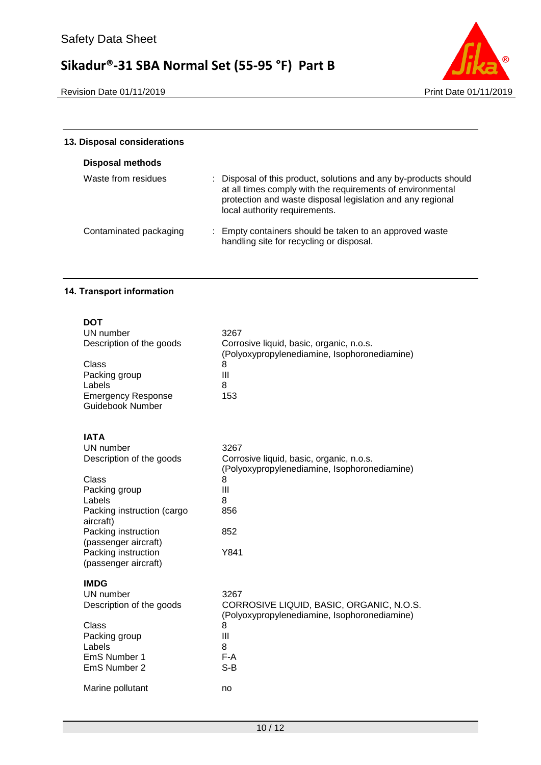

| 13. Disposal considerations |                                                                                                                                                                                                                               |
|-----------------------------|-------------------------------------------------------------------------------------------------------------------------------------------------------------------------------------------------------------------------------|
| <b>Disposal methods</b>     |                                                                                                                                                                                                                               |
| Waste from residues         | : Disposal of this product, solutions and any by-products should<br>at all times comply with the requirements of environmental<br>protection and waste disposal legislation and any regional<br>local authority requirements. |
| Contaminated packaging      | : Empty containers should be taken to an approved waste<br>handling site for recycling or disposal.                                                                                                                           |

### **14. Transport information**

| DOT                        |                                              |
|----------------------------|----------------------------------------------|
| UN number                  | 3267                                         |
| Description of the goods   | Corrosive liquid, basic, organic, n.o.s.     |
|                            | (Polyoxypropylenediamine, Isophoronediamine) |
| Class                      | 8                                            |
| Packing group              | III                                          |
| Labels                     | 8                                            |
| <b>Emergency Response</b>  | 153                                          |
| <b>Guidebook Number</b>    |                                              |
| <b>IATA</b>                |                                              |
| UN number                  | 3267                                         |
| Description of the goods   | Corrosive liquid, basic, organic, n.o.s.     |
|                            | (Polyoxypropylenediamine, Isophoronediamine) |
| Class                      | 8                                            |
| Packing group              | Ш                                            |
| Labels                     | 8                                            |
| Packing instruction (cargo | 856                                          |
| aircraft)                  |                                              |
| Packing instruction        | 852                                          |
| (passenger aircraft)       |                                              |
| Packing instruction        | Y841                                         |
| (passenger aircraft)       |                                              |
| <b>IMDG</b>                |                                              |
| UN number                  | 3267                                         |
| Description of the goods   | CORROSIVE LIQUID, BASIC, ORGANIC, N.O.S.     |
|                            | (Polyoxypropylenediamine, Isophoronediamine) |
| Class                      | 8                                            |
| Packing group              | III                                          |
| Labels                     | 8                                            |
| EmS Number 1               | $F-A$                                        |
| EmS Number 2               | $S-B$                                        |
| Marine pollutant           | no                                           |
|                            |                                              |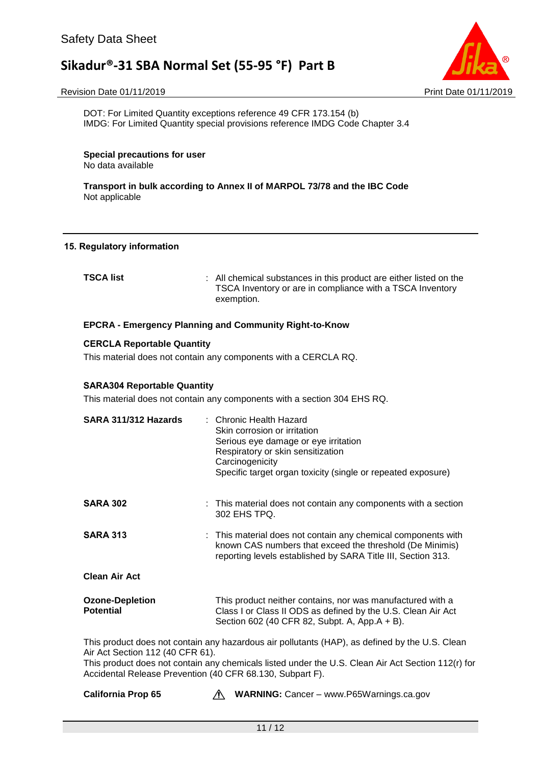

#### Revision Date 01/11/2019 **Print Date 01/11/2019** Print Date 01/11/2019

DOT: For Limited Quantity exceptions reference 49 CFR 173.154 (b) IMDG: For Limited Quantity special provisions reference IMDG Code Chapter 3.4

**Special precautions for user** No data available

**Transport in bulk according to Annex II of MARPOL 73/78 and the IBC Code** Not applicable

#### **15. Regulatory information**

**TEC** All chemical substances in this product are either listed on the TSCA Inventory or are in compliance with a TSCA Inventory exemption.

#### **EPCRA - Emergency Planning and Community Right-to-Know**

#### **CERCLA Reportable Quantity**

This material does not contain any components with a CERCLA RQ.

#### **SARA304 Reportable Quantity**

This material does not contain any components with a section 304 EHS RQ.

| SARA 311/312 Hazards                                                                          | : Chronic Health Hazard<br>Skin corrosion or irritation<br>Serious eye damage or eye irritation<br>Respiratory or skin sensitization<br>Carcinogenicity<br>Specific target organ toxicity (single or repeated exposure) |
|-----------------------------------------------------------------------------------------------|-------------------------------------------------------------------------------------------------------------------------------------------------------------------------------------------------------------------------|
| <b>SARA 302</b>                                                                               | : This material does not contain any components with a section<br>302 EHS TPQ.                                                                                                                                          |
| <b>SARA 313</b>                                                                               | : This material does not contain any chemical components with<br>known CAS numbers that exceed the threshold (De Minimis)<br>reporting levels established by SARA Title III, Section 313.                               |
| <b>Clean Air Act</b>                                                                          |                                                                                                                                                                                                                         |
| <b>Ozone-Depletion</b><br><b>Potential</b>                                                    | This product neither contains, nor was manufactured with a<br>Class I or Class II ODS as defined by the U.S. Clean Air Act<br>Section 602 (40 CFR 82, Subpt. A, App.A + B).                                             |
| Air Act Section 112 (40 CFR 61).<br>Accidental Release Prevention (40 CFR 68.130, Subpart F). | This product does not contain any hazardous air pollutants (HAP), as defined by the U.S. Clean<br>This product does not contain any chemicals listed under the U.S. Clean Air Act Section 112(r) for                    |

**California Prop 65 Marnings.ca.gov** MARNING: Cancer – www.P65Warnings.ca.gov